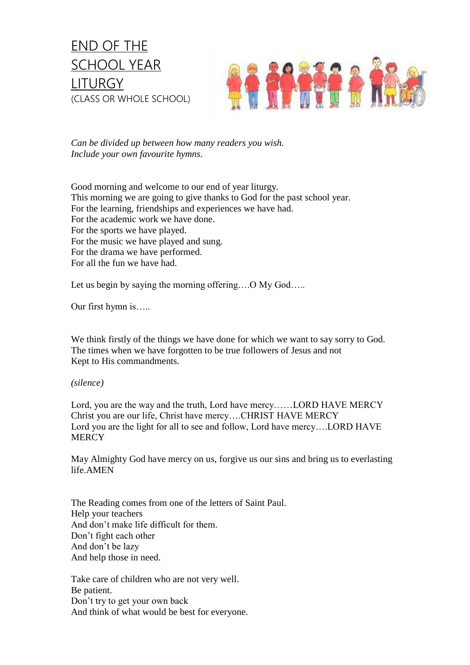END OF THE SCHOOL YEAR **LITURGY** (CLASS OR WHOLE SCHOOL)



*Can be divided up between how many readers you wish. Include your own favourite hymns.*

Good morning and welcome to our end of year liturgy. This morning we are going to give thanks to God for the past school year. For the learning, friendships and experiences we have had. For the academic work we have done. For the sports we have played. For the music we have played and sung. For the drama we have performed. For all the fun we have had.

Let us begin by saying the morning offering....O My God.....

Our first hymn is…..

We think firstly of the things we have done for which we want to say sorry to God. The times when we have forgotten to be true followers of Jesus and not Kept to His commandments.

## *(silence)*

Lord, you are the way and the truth, Lord have mercy……LORD HAVE MERCY Christ you are our life, Christ have mercy….CHRIST HAVE MERCY Lord you are the light for all to see and follow, Lord have mercy….LORD HAVE **MERCY** 

May Almighty God have mercy on us, forgive us our sins and bring us to everlasting life.AMEN

The Reading comes from one of the letters of Saint Paul. Help your teachers And don't make life difficult for them. Don't fight each other And don't be lazy And help those in need.

Take care of children who are not very well. Be patient. Don't try to get your own back And think of what would be best for everyone.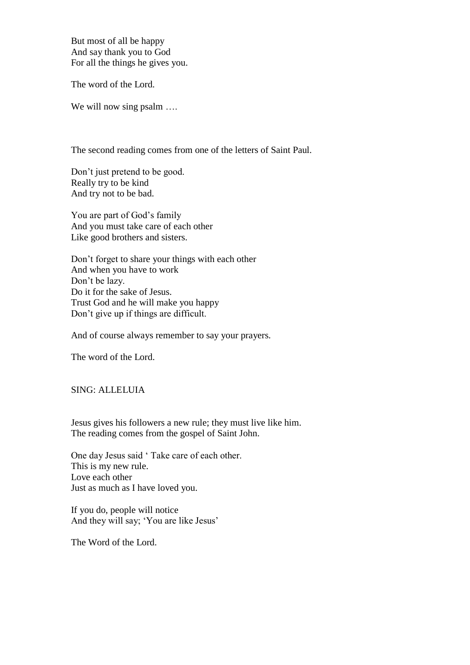But most of all be happy And say thank you to God For all the things he gives you.

The word of the Lord.

We will now sing psalm ....

The second reading comes from one of the letters of Saint Paul.

Don't just pretend to be good. Really try to be kind And try not to be bad.

You are part of God's family And you must take care of each other Like good brothers and sisters.

Don't forget to share your things with each other And when you have to work Don't be lazy. Do it for the sake of Jesus. Trust God and he will make you happy Don't give up if things are difficult.

And of course always remember to say your prayers.

The word of the Lord.

SING: ALLELUIA

Jesus gives his followers a new rule; they must live like him. The reading comes from the gospel of Saint John.

One day Jesus said ' Take care of each other. This is my new rule. Love each other Just as much as I have loved you.

If you do, people will notice And they will say; 'You are like Jesus'

The Word of the Lord.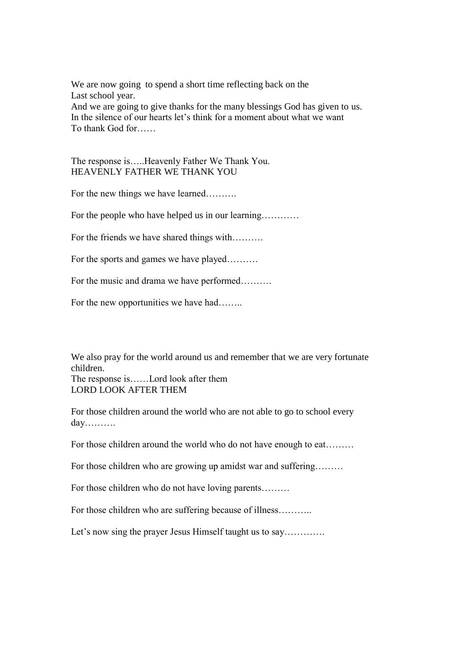We are now going to spend a short time reflecting back on the Last school year. And we are going to give thanks for the many blessings God has given to us. In the silence of our hearts let's think for a moment about what we want To thank God for……

The response is…..Heavenly Father We Thank You. HEAVENLY FATHER WE THANK YOU

For the new things we have learned……….

For the people who have helped us in our learning…………

For the friends we have shared things with……….

For the sports and games we have played……….

For the music and drama we have performed……….

For the new opportunities we have had……..

We also pray for the world around us and remember that we are very fortunate children.

The response is……Lord look after them LORD LOOK AFTER THEM

For those children around the world who are not able to go to school every day……….

For those children around the world who do not have enough to eat………

For those children who are growing up amidst war and suffering………

For those children who do not have loving parents………

For those children who are suffering because of illness...........

Let's now sing the prayer Jesus Himself taught us to say.............